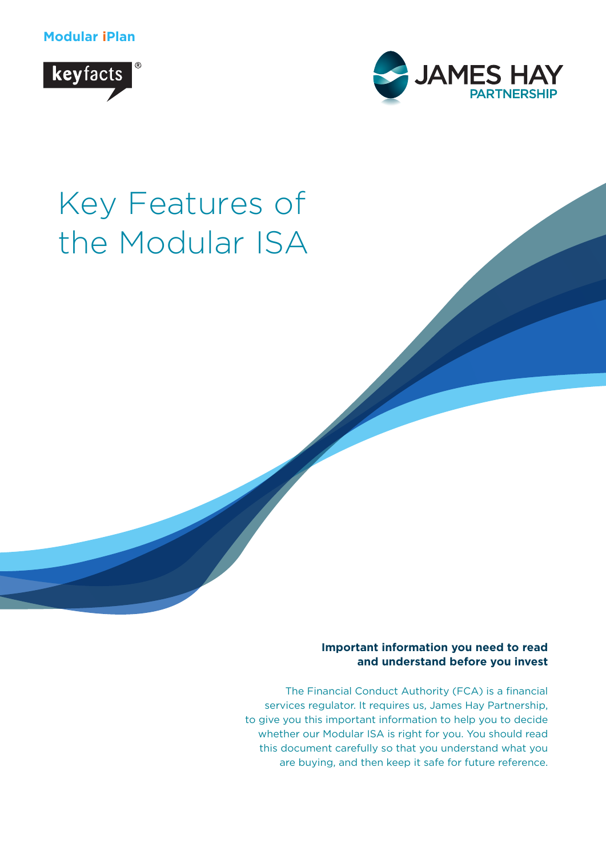**Modular iPlan**





# Key Features of the Modular ISA

**Important information you need to read and understand before you invest**

The Financial Conduct Authority (FCA) is a financial services regulator. It requires us, James Hay Partnership, to give you this important information to help you to decide whether our Modular ISA is right for you. You should read this document carefully so that you understand what you are buying, and then keep it safe for future reference.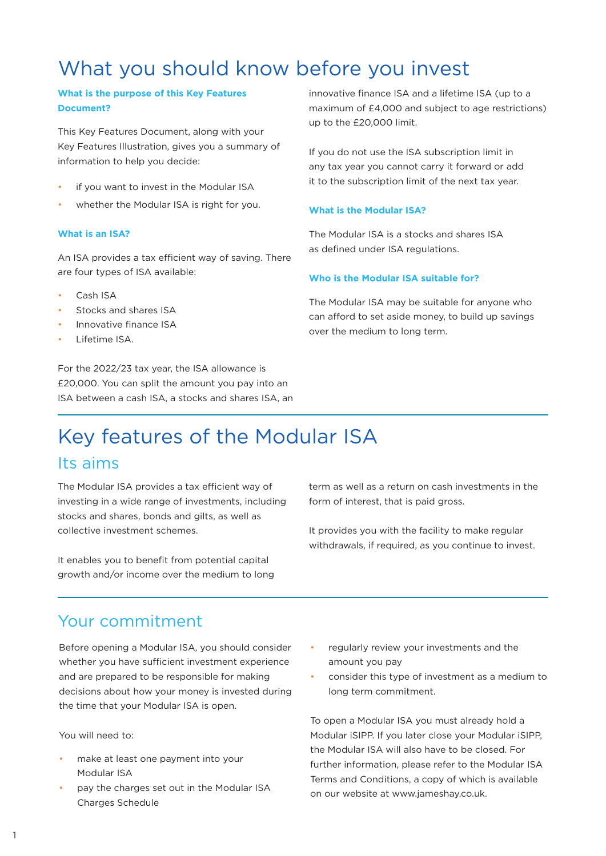# What you should know before you invest

#### **What is the purpose of this Key Features Document?**

This Key Features Document, along with your Key Features Illustration, gives you a summary of information to help you decide:

- if you want to invest in the Modular ISA
- whether the Modular ISA is right for you.

#### **What is an ISA?**

An ISA provides a tax efficient way of saving. There are four types of ISA available:

- Cash ISA
- Stocks and shares ISA
- Innovative finance ISA
- Lifetime ISA.

For the 2022/23 tax year, the ISA allowance is £20,000. You can split the amount you pay into an ISA between a cash ISA, a stocks and shares ISA, an innovative finance ISA and a lifetime ISA (up to a maximum of £4,000 and subject to age restrictions) up to the £20,000 limit.

If you do not use the ISA subscription limit in any tax year you cannot carry it forward or add it to the subscription limit of the next tax year.

#### **What is the Modular ISA?**

The Modular ISA is a stocks and shares ISA as defined under ISA regulations.

#### **Who is the Modular ISA suitable for?**

The Modular ISA may be suitable for anyone who can afford to set aside money, to build up savings over the medium to long term.

# Key features of the Modular ISA Its aims

The Modular ISA provides a tax efficient way of investing in a wide range of investments, including stocks and shares, bonds and gilts, as well as collective investment schemes.

It enables you to benefit from potential capital growth and/or income over the medium to long term as well as a return on cash investments in the form of interest, that is paid gross.

It provides you with the facility to make regular withdrawals, if required, as you continue to invest.

# Your commitment

Before opening a Modular ISA, you should consider whether you have sufficient investment experience and are prepared to be responsible for making decisions about how your money is invested during the time that your Modular ISA is open.

You will need to:

- make at least one payment into your Modular ISA
- pay the charges set out in the Modular ISA Charges Schedule
- regularly review your investments and the amount you pay
- consider this type of investment as a medium to long term commitment.

To open a Modular ISA you must already hold a Modular iSIPP. If you later close your Modular iSIPP, the Modular ISA will also have to be closed. For further information, please refer to the Modular ISA Terms and Conditions, a copy of which is available on our website at www.jameshay.co.uk.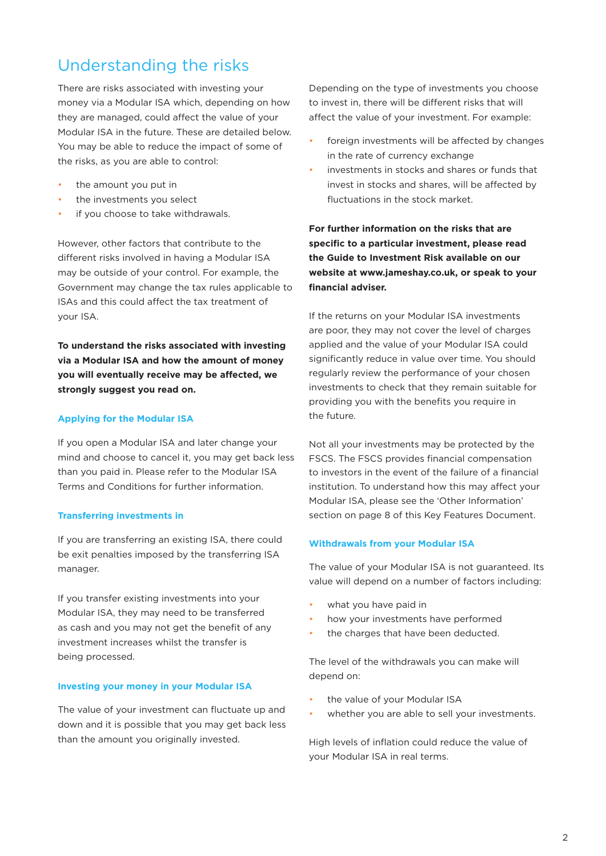# Understanding the risks

There are risks associated with investing your money via a Modular ISA which, depending on how they are managed, could affect the value of your Modular ISA in the future. These are detailed below. You may be able to reduce the impact of some of the risks, as you are able to control:

- the amount you put in
- the investments you select
- if you choose to take withdrawals.

However, other factors that contribute to the different risks involved in having a Modular ISA may be outside of your control. For example, the Government may change the tax rules applicable to ISAs and this could affect the tax treatment of your ISA.

**To understand the risks associated with investing via a Modular ISA and how the amount of money you will eventually receive may be affected, we strongly suggest you read on.**

#### **Applying for the Modular ISA**

If you open a Modular ISA and later change your mind and choose to cancel it, you may get back less than you paid in. Please refer to the Modular ISA Terms and Conditions for further information.

#### **Transferring investments in**

If you are transferring an existing ISA, there could be exit penalties imposed by the transferring ISA manager.

If you transfer existing investments into your Modular ISA, they may need to be transferred as cash and you may not get the benefit of any investment increases whilst the transfer is being processed.

#### **Investing your money in your Modular ISA**

The value of your investment can fluctuate up and down and it is possible that you may get back less than the amount you originally invested.

Depending on the type of investments you choose to invest in, there will be different risks that will affect the value of your investment. For example:

- foreign investments will be affected by changes in the rate of currency exchange
- investments in stocks and shares or funds that invest in stocks and shares, will be affected by fluctuations in the stock market.

**For further information on the risks that are specific to a particular investment, please read the Guide to Investment Risk available on our website at www.jameshay.co.uk, or speak to your financial adviser.**

If the returns on your Modular ISA investments are poor, they may not cover the level of charges applied and the value of your Modular ISA could significantly reduce in value over time. You should regularly review the performance of your chosen investments to check that they remain suitable for providing you with the benefits you require in the future.

Not all your investments may be protected by the FSCS. The FSCS provides financial compensation to investors in the event of the failure of a financial institution. To understand how this may affect your Modular ISA, please see the 'Other Information' section on page 8 of this Key Features Document.

#### **Withdrawals from your Modular ISA**

The value of your Modular ISA is not guaranteed. Its value will depend on a number of factors including:

- what you have paid in
- how your investments have performed
- the charges that have been deducted.

The level of the withdrawals you can make will depend on:

- the value of your Modular ISA
- whether you are able to sell your investments.

High levels of inflation could reduce the value of your Modular ISA in real terms.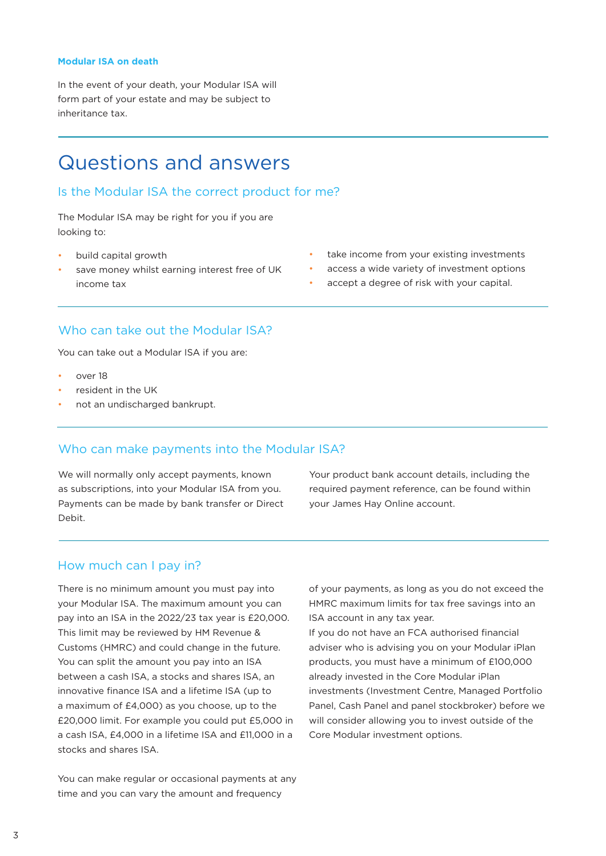#### **Modular ISA on death**

In the event of your death, your Modular ISA will form part of your estate and may be subject to inheritance tax.

# Questions and answers

#### Is the Modular ISA the correct product for me?

The Modular ISA may be right for you if you are looking to:

- build capital growth
- save money whilst earning interest free of UK income tax
- take income from your existing investments
- access a wide variety of investment options
- accept a degree of risk with your capital.

### Who can take out the Modular ISA?

You can take out a Modular ISA if you are:

- over 18
- resident in the UK
- not an undischarged bankrupt.

### Who can make payments into the Modular ISA?

We will normally only accept payments, known as subscriptions, into your Modular ISA from you. Payments can be made by bank transfer or Direct Debit.

Your product bank account details, including the required payment reference, can be found within your James Hay Online account.

#### How much can I pay in?

There is no minimum amount you must pay into your Modular ISA. The maximum amount you can pay into an ISA in the 2022/23 tax year is £20,000. This limit may be reviewed by HM Revenue & Customs (HMRC) and could change in the future. You can split the amount you pay into an ISA between a cash ISA, a stocks and shares ISA, an innovative finance ISA and a lifetime ISA (up to a maximum of £4,000) as you choose, up to the £20,000 limit. For example you could put £5,000 in a cash ISA, £4,000 in a lifetime ISA and £11,000 in a stocks and shares ISA.

You can make regular or occasional payments at any time and you can vary the amount and frequency

of your payments, as long as you do not exceed the HMRC maximum limits for tax free savings into an ISA account in any tax year.

If you do not have an FCA authorised financial adviser who is advising you on your Modular iPlan products, you must have a minimum of £100,000 already invested in the Core Modular iPlan investments (Investment Centre, Managed Portfolio Panel, Cash Panel and panel stockbroker) before we will consider allowing you to invest outside of the Core Modular investment options.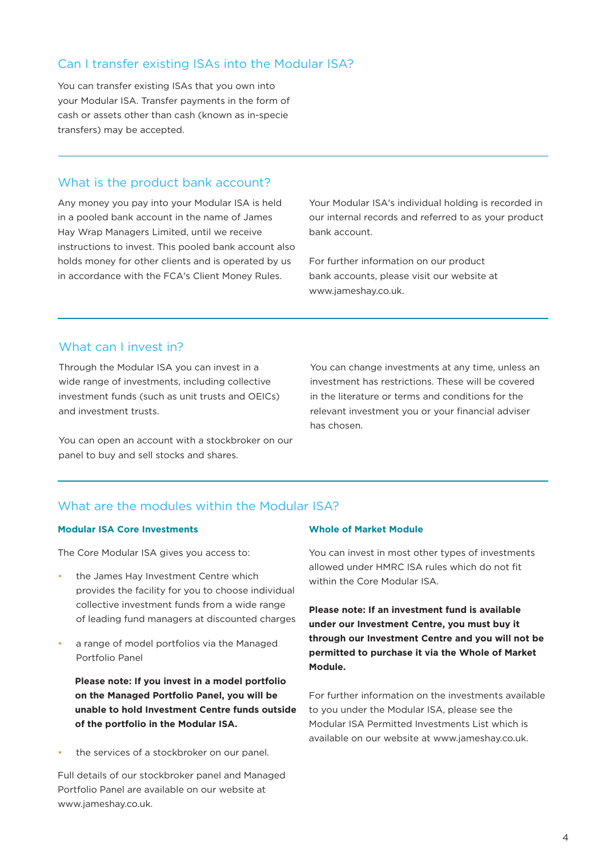# Can I transfer existing ISAs into the Modular ISA?

You can transfer existing ISAs that you own into your Modular ISA. Transfer payments in the form of cash or assets other than cash (known as in-specie transfers) may be accepted.

# What is the product bank account?

Any money you pay into your Modular ISA is held in a pooled bank account in the name of James Hay Wrap Managers Limited, until we receive instructions to invest. This pooled bank account also holds money for other clients and is operated by us in accordance with the FCA's Client Money Rules.

Your Modular ISA's individual holding is recorded in our internal records and referred to as your product bank account.

For further information on our product bank accounts, please visit our website at www.jameshay.co.uk.

# What can I invest in?

Through the Modular ISA you can invest in a wide range of investments, including collective investment funds (such as unit trusts and OEICs) and investment trusts.

You can open an account with a stockbroker on our panel to buy and sell stocks and shares.

You can change investments at any time, unless an investment has restrictions. These will be covered in the literature or terms and conditions for the relevant investment you or your financial adviser has chosen.

# What are the modules within the Modular ISA?

#### **Modular ISA Core Investments**

The Core Modular ISA gives you access to:

- the James Hay Investment Centre which provides the facility for you to choose individual collective investment funds from a wide range of leading fund managers at discounted charges
- a range of model portfolios via the Managed Portfolio Panel

**Please note: If you invest in a model portfolio on the Managed Portfolio Panel, you will be unable to hold Investment Centre funds outside of the portfolio in the Modular ISA.**

the services of a stockbroker on our panel.

Full details of our stockbroker panel and Managed Portfolio Panel are available on our website at www.jameshay.co.uk.

#### **Whole of Market Module**

You can invest in most other types of investments allowed under HMRC ISA rules which do not fit within the Core Modular ISA.

**Please note: If an investment fund is available under our Investment Centre, you must buy it through our Investment Centre and you will not be permitted to purchase it via the Whole of Market Module.**

For further information on the investments available to you under the Modular ISA, please see the Modular ISA Permitted Investments List which is available on our website at www.jameshay.co.uk.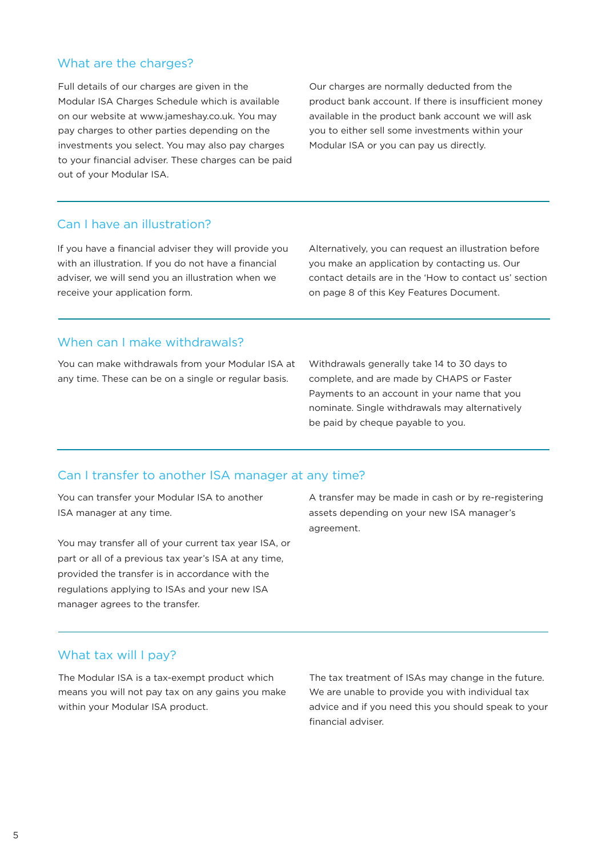# What are the charges?

Full details of our charges are given in the Modular ISA Charges Schedule which is available on our website at www.jameshay.co.uk. You may pay charges to other parties depending on the investments you select. You may also pay charges to your financial adviser. These charges can be paid out of your Modular ISA.

Our charges are normally deducted from the product bank account. If there is insufficient money available in the product bank account we will ask you to either sell some investments within your Modular ISA or you can pay us directly.

# Can I have an illustration?

If you have a financial adviser they will provide you with an illustration. If you do not have a financial adviser, we will send you an illustration when we receive your application form.

Alternatively, you can request an illustration before you make an application by contacting us. Our contact details are in the 'How to contact us' section on page 8 of this Key Features Document.

# When can I make withdrawals?

You can make withdrawals from your Modular ISA at any time. These can be on a single or regular basis.

Withdrawals generally take 14 to 30 days to complete, and are made by CHAPS or Faster Payments to an account in your name that you nominate. Single withdrawals may alternatively be paid by cheque payable to you.

# Can I transfer to another ISA manager at any time?

You can transfer your Modular ISA to another ISA manager at any time.

You may transfer all of your current tax year ISA, or part or all of a previous tax year's ISA at any time, provided the transfer is in accordance with the regulations applying to ISAs and your new ISA manager agrees to the transfer.

A transfer may be made in cash or by re-registering assets depending on your new ISA manager's agreement.

### What tax will I pay?

The Modular ISA is a tax-exempt product which means you will not pay tax on any gains you make within your Modular ISA product.

The tax treatment of ISAs may change in the future. We are unable to provide you with individual tax advice and if you need this you should speak to your financial adviser.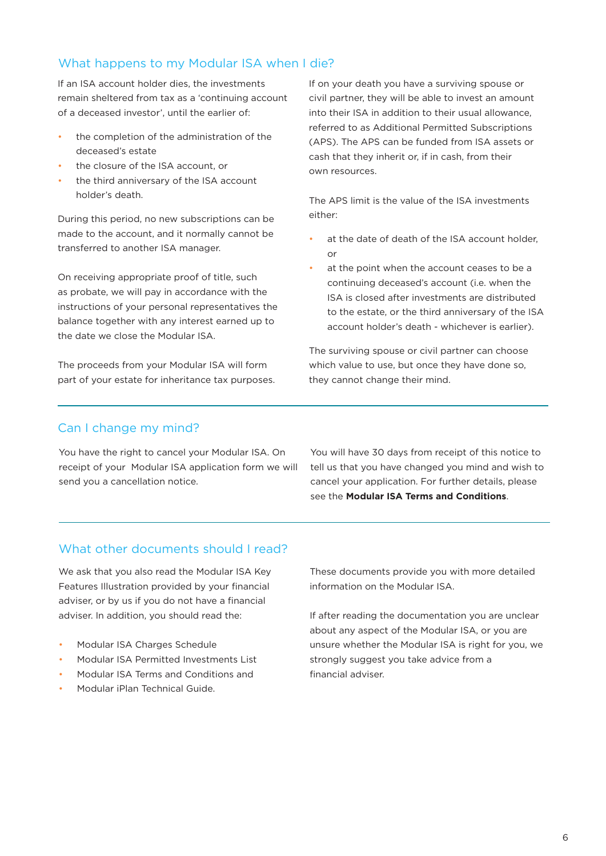# What happens to my Modular ISA when I die?

If an ISA account holder dies, the investments remain sheltered from tax as a 'continuing account of a deceased investor', until the earlier of:

- the completion of the administration of the deceased's estate
- the closure of the ISA account, or
- the third anniversary of the ISA account holder's death.

During this period, no new subscriptions can be made to the account, and it normally cannot be transferred to another ISA manager.

On receiving appropriate proof of title, such as probate, we will pay in accordance with the instructions of your personal representatives the balance together with any interest earned up to the date we close the Modular ISA.

The proceeds from your Modular ISA will form part of your estate for inheritance tax purposes. If on your death you have a surviving spouse or civil partner, they will be able to invest an amount into their ISA in addition to their usual allowance, referred to as Additional Permitted Subscriptions (APS). The APS can be funded from ISA assets or cash that they inherit or, if in cash, from their own resources.

The APS limit is the value of the ISA investments either:

- at the date of death of the ISA account holder, or
- at the point when the account ceases to be a continuing deceased's account (i.e. when the ISA is closed after investments are distributed to the estate, or the third anniversary of the ISA account holder's death - whichever is earlier).

The surviving spouse or civil partner can choose which value to use, but once they have done so, they cannot change their mind.

# Can I change my mind?

You have the right to cancel your Modular ISA. On receipt of your Modular ISA application form we will send you a cancellation notice.

You will have 30 days from receipt of this notice to tell us that you have changed you mind and wish to cancel your application. For further details, please see the **Modular ISA Terms and Conditions**.

# What other documents should I read?

We ask that you also read the Modular ISA Key Features Illustration provided by your financial adviser, or by us if you do not have a financial adviser. In addition, you should read the:

- Modular ISA Charges Schedule
- Modular ISA Permitted Investments List
- Modular ISA Terms and Conditions and
- Modular iPlan Technical Guide.

These documents provide you with more detailed information on the Modular ISA.

If after reading the documentation you are unclear about any aspect of the Modular ISA, or you are unsure whether the Modular ISA is right for you, we strongly suggest you take advice from a financial adviser.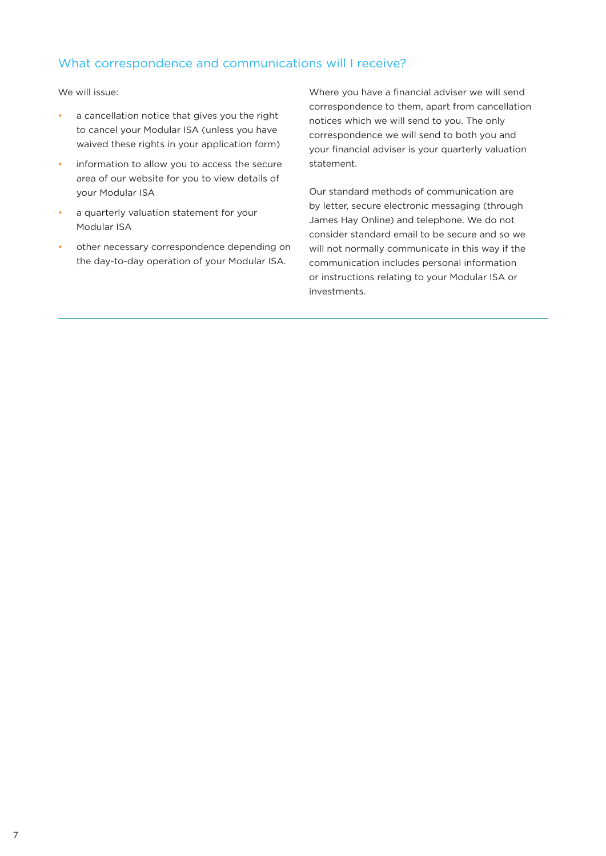# What correspondence and communications will I receive?

We will issue:

- a cancellation notice that gives you the right to cancel your Modular ISA (unless you have waived these rights in your application form)
- information to allow you to access the secure area of our website for you to view details of your Modular ISA
- a quarterly valuation statement for your Modular ISA
- other necessary correspondence depending on the day-to-day operation of your Modular ISA.

Where you have a financial adviser we will send correspondence to them, apart from cancellation notices which we will send to you. The only correspondence we will send to both you and your financial adviser is your quarterly valuation statement.

Our standard methods of communication are by letter, secure electronic messaging (through James Hay Online) and telephone. We do not consider standard email to be secure and so we will not normally communicate in this way if the communication includes personal information or instructions relating to your Modular ISA or investments.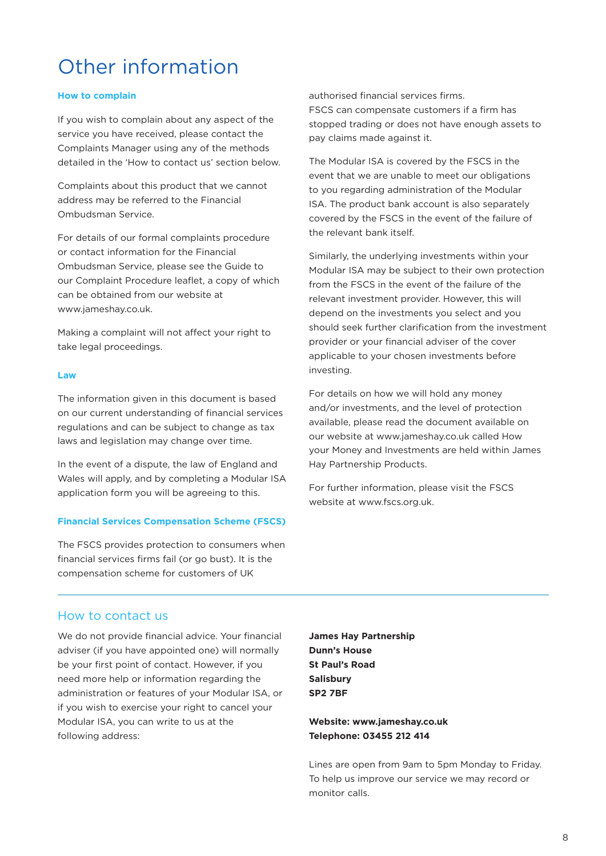# Other information

#### **How to complain**

If you wish to complain about any aspect of the service you have received, please contact the Complaints Manager using any of the methods detailed in the 'How to contact us' section below.

Complaints about this product that we cannot address may be referred to the Financial Ombudsman Service.

For details of our formal complaints procedure or contact information for the Financial Ombudsman Service, please see the Guide to our Complaint Procedure leaflet, a copy of which can be obtained from our website at www.jameshay.co.uk.

Making a complaint will not affect your right to take legal proceedings.

#### **Law**

The information given in this document is based on our current understanding of financial services regulations and can be subject to change as tax laws and legislation may change over time.

In the event of a dispute, the law of England and Wales will apply, and by completing a Modular ISA application form you will be agreeing to this.

#### **Financial Services Compensation Scheme (FSCS)**

The FSCS provides protection to consumers when financial services firms fail (or go bust). It is the compensation scheme for customers of UK

authorised financial services firms. FSCS can compensate customers if a firm has stopped trading or does not have enough assets to pay claims made against it.

The Modular ISA is covered by the FSCS in the event that we are unable to meet our obligations to you regarding administration of the Modular ISA. The product bank account is also separately covered by the FSCS in the event of the failure of the relevant bank itself.

Similarly, the underlying investments within your Modular ISA may be subject to their own protection from the FSCS in the event of the failure of the relevant investment provider. However, this will depend on the investments you select and you should seek further clarification from the investment provider or your financial adviser of the cover applicable to your chosen investments before investing.

For details on how we will hold any money and/or investments, and the level of protection available, please read the document available on our website at www.jameshay.co.uk called How your Money and Investments are held within James Hay Partnership Products.

For further information, please visit the FSCS website at www.fscs.org.uk.

#### How to contact us

We do not provide financial advice. Your financial adviser (if you have appointed one) will normally be your first point of contact. However, if you need more help or information regarding the administration or features of your Modular ISA, or if you wish to exercise your right to cancel your Modular ISA, you can write to us at the following address:

**James Hay Partnership Dunn's House St Paul's Road Salisbury SP2 7BF**

**Website: www.jameshay.co.uk Telephone: 03455 212 414**

Lines are open from 9am to 5pm Monday to Friday. To help us improve our service we may record or monitor calls.